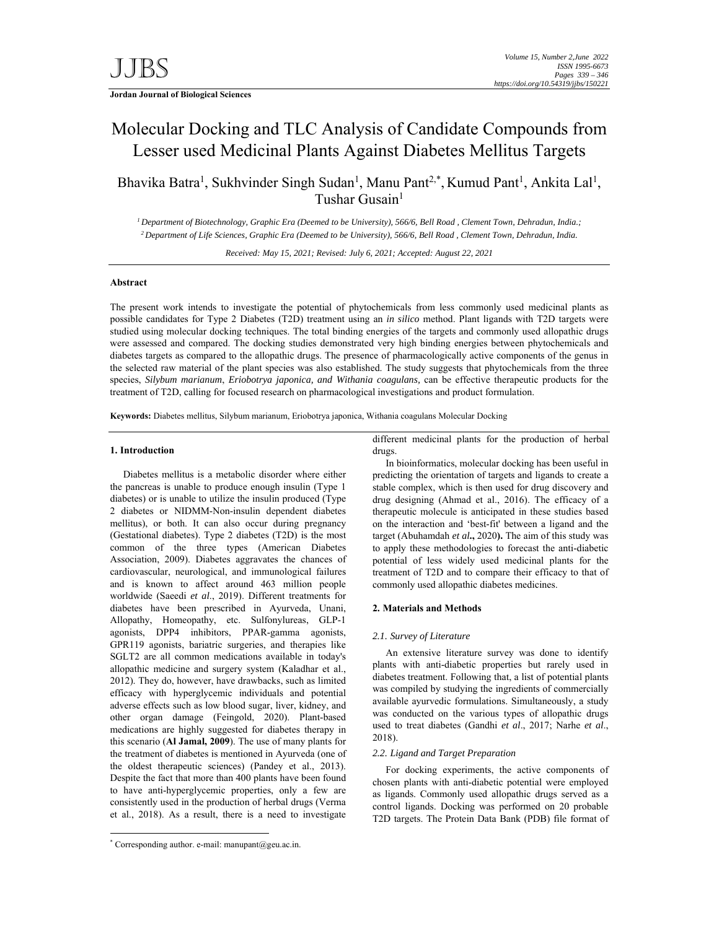**Jordan Journal of Biological Sciences** 

# Molecular Docking and TLC Analysis of Candidate Compounds from Lesser used Medicinal Plants Against Diabetes Mellitus Targets

Bhavika Batra<sup>1</sup>, Sukhvinder Singh Sudan<sup>1</sup>, Manu Pant<sup>2,\*</sup>, Kumud Pant<sup>1</sup>, Ankita Lal<sup>1</sup>, Tushar Gusain $<sup>1</sup>$ </sup>

*1 Department of Biotechnology, Graphic Era (Deemed to be University), 566/6, Bell Road , Clement Town, Dehradun, India.; 2 Department of Life Sciences, Graphic Era (Deemed to be University), 566/6, Bell Road , Clement Town, Dehradun, India.* 

*Received: May 15, 2021; Revised: July 6, 2021; Accepted: August 22, 2021* 

## **Abstract**

The present work intends to investigate the potential of phytochemicals from less commonly used medicinal plants as possible candidates for Type 2 Diabetes (T2D) treatment using an *in silico* method. Plant ligands with T2D targets were studied using molecular docking techniques. The total binding energies of the targets and commonly used allopathic drugs were assessed and compared. The docking studies demonstrated very high binding energies between phytochemicals and diabetes targets as compared to the allopathic drugs. The presence of pharmacologically active components of the genus in the selected raw material of the plant species was also established. The study suggests that phytochemicals from the three species, *Silybum marianum*, *Eriobotrya japonica, and Withania coagulans,* can be effective therapeutic products for the treatment of T2D, calling for focused research on pharmacological investigations and product formulation.

**Keywords:** Diabetes mellitus, Silybum marianum, Eriobotrya japonica, Withania coagulans Molecular Docking

#### **1. Introduction**

Diabetes mellitus is a metabolic disorder where either the pancreas is unable to produce enough insulin (Type 1 diabetes) or is unable to utilize the insulin produced (Type 2 diabetes or NIDMM-Non-insulin dependent diabetes mellitus), or both. It can also occur during pregnancy (Gestational diabetes). Type 2 diabetes (T2D) is the most common of the three types (American Diabetes Association, 2009). Diabetes aggravates the chances of cardiovascular, neurological, and immunological failures and is known to affect around 463 million people worldwide (Saeedi *et al*., 2019). Different treatments for diabetes have been prescribed in Ayurveda, Unani, Allopathy, Homeopathy, etc. Sulfonylureas, GLP-1 agonists, DPP4 inhibitors, PPAR-gamma agonists, GPR119 agonists, bariatric surgeries, and therapies like SGLT2 are all common medications available in today's allopathic medicine and surgery system (Kaladhar et al., 2012). They do, however, have drawbacks, such as limited efficacy with hyperglycemic individuals and potential adverse effects such as low blood sugar, liver, kidney, and other organ damage (Feingold, 2020). Plant-based medications are highly suggested for diabetes therapy in this scenario (**Al Jamal, 2009**). The use of many plants for the treatment of diabetes is mentioned in Ayurveda (one of the oldest therapeutic sciences) (Pandey et al., 2013). Despite the fact that more than 400 plants have been found to have anti-hyperglycemic properties, only a few are consistently used in the production of herbal drugs (Verma et al., 2018). As a result, there is a need to investigate

\* Corresponding author. e-mail: manupant@geu.ac.in.

-

different medicinal plants for the production of herbal drugs.

In bioinformatics, molecular docking has been useful in predicting the orientation of targets and ligands to create a stable complex, which is then used for drug discovery and drug designing (Ahmad et al., 2016). The efficacy of a therapeutic molecule is anticipated in these studies based on the interaction and 'best-fit' between a ligand and the target (Abuhamdah *et al***.,** 2020**).** The aim of this study was to apply these methodologies to forecast the anti-diabetic potential of less widely used medicinal plants for the treatment of T2D and to compare their efficacy to that of commonly used allopathic diabetes medicines.

## **2. Materials and Methods**

#### *2.1. Survey of Literature*

An extensive literature survey was done to identify plants with anti-diabetic properties but rarely used in diabetes treatment. Following that, a list of potential plants was compiled by studying the ingredients of commercially available ayurvedic formulations. Simultaneously, a study was conducted on the various types of allopathic drugs used to treat diabetes (Gandhi *et al*., 2017; Narhe *et al*., 2018).

## *2.2. Ligand and Target Preparation*

For docking experiments, the active components of chosen plants with anti-diabetic potential were employed as ligands. Commonly used allopathic drugs served as a control ligands. Docking was performed on 20 probable T2D targets. The Protein Data Bank (PDB) file format of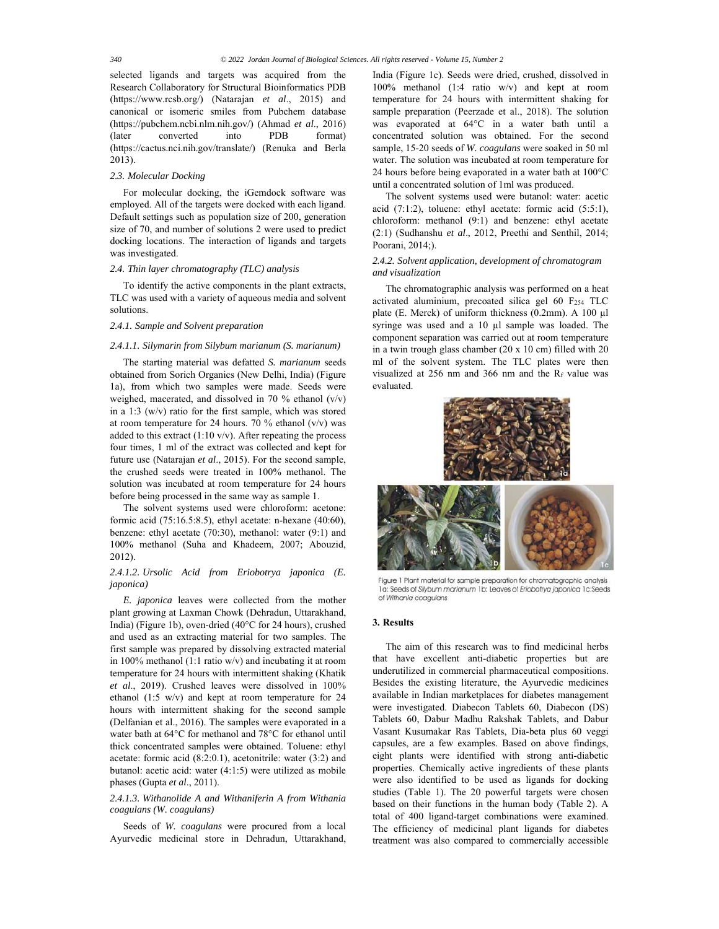selected ligands and targets was acquired from the Research Collaboratory for Structural Bioinformatics PDB (https://www.rcsb.org/) (Natarajan *et al*., 2015) and canonical or isomeric smiles from Pubchem database (https://pubchem.ncbi.nlm.nih.gov/) (Ahmad *et al*., 2016) (later converted into PDB format) (https://cactus.nci.nih.gov/translate/) (Renuka and Berla 2013).

## *2.3. Molecular Docking*

For molecular docking, the iGemdock software was employed. All of the targets were docked with each ligand. Default settings such as population size of 200, generation size of 70, and number of solutions 2 were used to predict docking locations. The interaction of ligands and targets was investigated.

#### *2.4. Thin layer chromatography (TLC) analysis*

To identify the active components in the plant extracts, TLC was used with a variety of aqueous media and solvent solutions.

## *2.4.1. Sample and Solvent preparation*

## *2.4.1.1. Silymarin from Silybum marianum (S. marianum)*

The starting material was defatted *S. marianum* seeds obtained from Sorich Organics (New Delhi, India) (Figure 1a), from which two samples were made. Seeds were weighed, macerated, and dissolved in 70 % ethanol (v/v) in a 1:3 (w/v) ratio for the first sample, which was stored at room temperature for 24 hours. 70 % ethanol  $(v/v)$  was added to this extract  $(1:10 \text{ v/v})$ . After repeating the process four times, 1 ml of the extract was collected and kept for future use (Natarajan *et al*., 2015). For the second sample, the crushed seeds were treated in 100% methanol. The solution was incubated at room temperature for 24 hours before being processed in the same way as sample 1.

The solvent systems used were chloroform: acetone: formic acid (75:16.5:8.5), ethyl acetate: n-hexane (40:60), benzene: ethyl acetate (70:30), methanol: water (9:1) and 100% methanol (Suha and Khadeem, 2007; Abouzid, 2012).

## *2.4.1.2. Ursolic Acid from Eriobotrya japonica (E. japonica)*

*E. japonica* leaves were collected from the mother plant growing at Laxman Chowk (Dehradun, Uttarakhand, India) (Figure 1b), oven-dried (40°C for 24 hours), crushed and used as an extracting material for two samples. The first sample was prepared by dissolving extracted material in 100% methanol (1:1 ratio w/v) and incubating it at room temperature for 24 hours with intermittent shaking (Khatik *et al*., 2019). Crushed leaves were dissolved in 100% ethanol (1:5 w/v) and kept at room temperature for 24 hours with intermittent shaking for the second sample (Delfanian et al., 2016). The samples were evaporated in a water bath at 64°C for methanol and 78°C for ethanol until thick concentrated samples were obtained. Toluene: ethyl acetate: formic acid (8:2:0.1), acetonitrile: water (3:2) and butanol: acetic acid: water (4:1:5) were utilized as mobile phases (Gupta *et al*., 2011).

## *2.4.1.3. Withanolide A and Withaniferin A from Withania coagulans (W. coagulans)*

Seeds of *W. coagulans* were procured from a local Ayurvedic medicinal store in Dehradun, Uttarakhand,

India (Figure 1c). Seeds were dried, crushed, dissolved in 100% methanol (1:4 ratio w/v) and kept at room temperature for 24 hours with intermittent shaking for sample preparation (Peerzade et al., 2018). The solution was evaporated at 64°C in a water bath until a concentrated solution was obtained. For the second sample, 15-20 seeds of *W. coagulans* were soaked in 50 ml water. The solution was incubated at room temperature for 24 hours before being evaporated in a water bath at 100°C until a concentrated solution of 1ml was produced.

The solvent systems used were butanol: water: acetic acid (7:1:2), toluene: ethyl acetate: formic acid (5:5:1), chloroform: methanol (9:1) and benzene: ethyl acetate (2:1) (Sudhanshu *et al*., 2012, Preethi and Senthil, 2014; Poorani, 2014;).

## *2.4.2. Solvent application, development of chromatogram and visualization*

The chromatographic analysis was performed on a heat activated aluminium, precoated silica gel 60 F<sub>254</sub> TLC plate (E. Merck) of uniform thickness (0.2mm). A 100 µl syringe was used and a 10 µl sample was loaded. The component separation was carried out at room temperature in a twin trough glass chamber (20 x 10 cm) filled with 20 ml of the solvent system. The TLC plates were then visualized at 256 nm and 366 nm and the  $R_f$  value was evaluated.



Figure 1 Plant material for sample preparation for chromatographic analysis 1a: Seeds of Silyburn marianum 1b: Leaves of Eriobotrya japonica 1c:Seeds of Withania coggulans

#### **3. Results**

The aim of this research was to find medicinal herbs that have excellent anti-diabetic properties but are underutilized in commercial pharmaceutical compositions. Besides the existing literature, the Ayurvedic medicines available in Indian marketplaces for diabetes management were investigated. Diabecon Tablets 60, Diabecon (DS) Tablets 60, Dabur Madhu Rakshak Tablets, and Dabur Vasant Kusumakar Ras Tablets, Dia-beta plus 60 veggi capsules, are a few examples. Based on above findings, eight plants were identified with strong anti-diabetic properties. Chemically active ingredients of these plants were also identified to be used as ligands for docking studies (Table 1). The 20 powerful targets were chosen based on their functions in the human body (Table 2). A total of 400 ligand-target combinations were examined. The efficiency of medicinal plant ligands for diabetes treatment was also compared to commercially accessible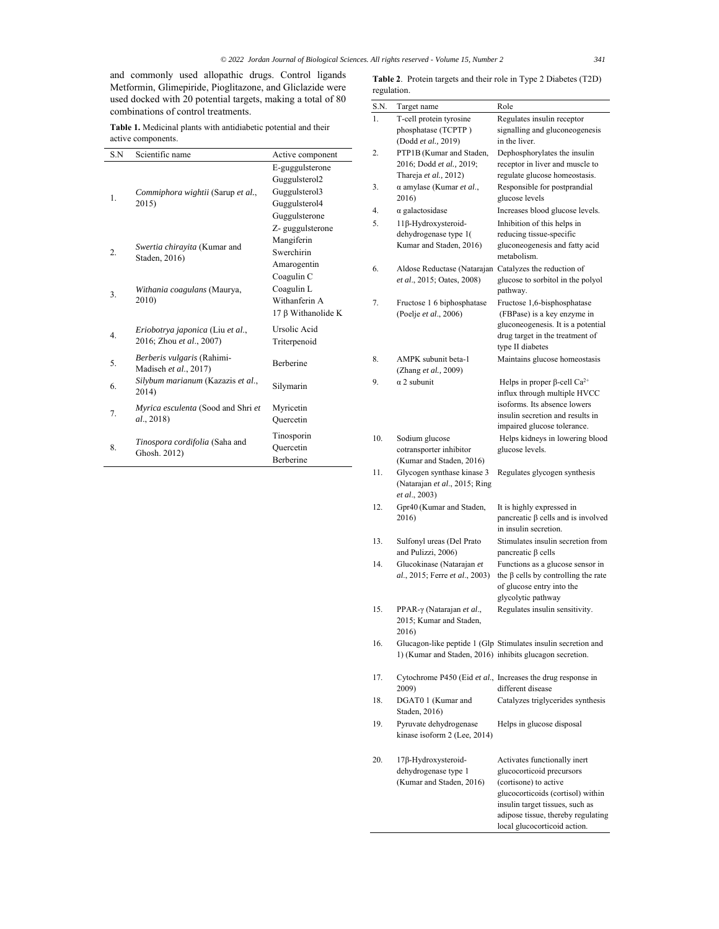and commonly used allopathic drugs. Control ligands Metformin, Glimepiride, Pioglitazone, and Gliclazide were used docked with 20 potential targets, making a total of 80 combinations of control treatments.

**Table 1.** Medicinal plants with antidiabetic potential and their active components.

| S.N | Scientific name                                | Active component   |  |
|-----|------------------------------------------------|--------------------|--|
|     |                                                | E-guggulsterone    |  |
| 1.  |                                                | Guggulsterol2      |  |
|     | Commiphora wightii (Sarup et al.,              | Guggulsterol3      |  |
|     | 2015)                                          | Guggulsterol4      |  |
|     |                                                | Guggulsterone      |  |
|     |                                                | Z- guggulsterone   |  |
|     |                                                | Mangiferin         |  |
| 2.  | Swertia chirayita (Kumar and<br>Staden, 2016)  | Swerchirin         |  |
|     |                                                | Amarogentin        |  |
|     |                                                | Coagulin C         |  |
| 3.  | Withania coagulans (Maurya,                    | Coagulin L         |  |
|     | 2010)                                          | Withanferin A      |  |
|     |                                                | 17 β Withanolide K |  |
|     | Eriobotrya japonica (Liu et al.,               | Ursolic Acid       |  |
| 4.  | 2016; Zhou et al., 2007)                       | Triterpenoid       |  |
| 5.  | Berberis vulgaris (Rahimi-                     | Berberine          |  |
|     | Madiseh et al., 2017)                          |                    |  |
| 6.  | Silybum marianum (Kazazis et al.,<br>2014)     | Silymarin          |  |
| 7.  | Myrica esculenta (Sood and Shri et             | Myricetin          |  |
|     | al., 2018)                                     | Quercetin          |  |
| 8.  |                                                | Tinosporin         |  |
|     | Tinospora cordifolia (Saha and<br>Ghosh. 2012) | Quercetin          |  |
|     |                                                | <b>Berberine</b>   |  |

| <b>Table 2.</b> Protein targets and their role in Type 2 Diabetes (T2D) |  |  |  |  |  |
|-------------------------------------------------------------------------|--|--|--|--|--|
| regulation.                                                             |  |  |  |  |  |

| S.N. | Target name                                              | Role                                                          |
|------|----------------------------------------------------------|---------------------------------------------------------------|
| 1.   | T-cell protein tyrosine                                  | Regulates insulin receptor                                    |
|      | phosphatase (TCPTP)                                      | signalling and gluconeogenesis                                |
|      | (Dodd et al., 2019)                                      | in the liver.                                                 |
| 2.   | PTP1B (Kumar and Staden,                                 | Dephosphorylates the insulin                                  |
|      | 2016; Dodd et al., 2019;                                 | receptor in liver and muscle to                               |
|      | Thareja et al., 2012)                                    | regulate glucose homeostasis.                                 |
| 3.   | α amylase (Kumar et al.,                                 | Responsible for postprandial                                  |
|      | 2016)                                                    | glucose levels                                                |
| 4.   | $\alpha$ galactosidase                                   | Increases blood glucose levels.                               |
| 5.   | 11β-Hydroxysteroid-                                      | Inhibition of this helps in                                   |
|      | dehydrogenase type 1(                                    | reducing tissue-specific                                      |
|      | Kumar and Staden, 2016)                                  | gluconeogenesis and fatty acid                                |
|      |                                                          | metabolism.                                                   |
| 6.   | Aldose Reductase (Natarajan Catalyzes the reduction of   |                                                               |
|      | et al., 2015; Oates, 2008)                               | glucose to sorbitol in the polyol                             |
|      |                                                          | pathway.                                                      |
| 7.   | Fructose 1 6 biphosphatase                               | Fructose 1,6-bisphosphatase                                   |
|      | (Poelje et al., 2006)                                    | (FBPase) is a key enzyme in                                   |
|      |                                                          | gluconeogenesis. It is a potential                            |
|      |                                                          | drug target in the treatment of                               |
|      |                                                          | type II diabetes                                              |
| 8.   | AMPK subunit beta-1                                      | Maintains glucose homeostasis                                 |
|      | (Zhang et al., 2009)                                     |                                                               |
| 9.   | $\alpha$ 2 subunit                                       | Helps in proper $\beta$ -cell Ca <sup>2+</sup>                |
|      |                                                          | influx through multiple HVCC                                  |
|      |                                                          | isoforms. Its absence lowers                                  |
|      |                                                          | insulin secretion and results in                              |
|      |                                                          | impaired glucose tolerance.                                   |
| 10.  | Sodium glucose                                           | Helps kidneys in lowering blood                               |
|      | cotransporter inhibitor<br>(Kumar and Staden, 2016)      | glucose levels.                                               |
| 11.  | Glycogen synthase kinase 3                               | Regulates glycogen synthesis                                  |
|      | (Natarajan et al., 2015; Ring                            |                                                               |
|      | et al., 2003)                                            |                                                               |
| 12.  | Gpr40 (Kumar and Staden,                                 | It is highly expressed in                                     |
|      | 2016)                                                    | pancreatic $\beta$ cells and is involved                      |
|      |                                                          | in insulin secretion.                                         |
| 13.  | Sulfonyl ureas (Del Prato                                | Stimulates insulin secretion from                             |
|      | and Pulizzi, 2006)                                       | pancreatic $\beta$ cells                                      |
| 14.  | Glucokinase (Natarajan et                                | Functions as a glucose sensor in                              |
|      | al., 2015; Ferre et al., 2003)                           | the $\beta$ cells by controlling the rate                     |
|      |                                                          | of glucose entry into the                                     |
|      |                                                          | glycolytic pathway                                            |
| 15.  | PPAR-γ (Natarajan et al.,                                | Regulates insulin sensitivity.                                |
|      | 2015; Kumar and Staden,                                  |                                                               |
|      | 2016)                                                    |                                                               |
| 16.  |                                                          | Glucagon-like peptide 1 (Glp Stimulates insulin secretion and |
|      | 1) (Kumar and Staden, 2016) inhibits glucagon secretion. |                                                               |
|      |                                                          |                                                               |
| 17.  |                                                          | Cytochrome P450 (Eid et al., Increases the drug response in   |
|      | 2009)                                                    | different disease                                             |
| 18.  | DGAT0 1 (Kumar and                                       | Catalyzes triglycerides synthesis                             |
|      | Staden, 2016)                                            |                                                               |
| 19.  | Pyruvate dehydrogenase                                   | Helps in glucose disposal                                     |
|      | kinase isoform 2 (Lee, 2014)                             |                                                               |
|      |                                                          |                                                               |
| 20.  | 17β-Hydroxysteroid-                                      | Activates functionally inert                                  |
|      | dehydrogenase type 1                                     | glucocorticoid precursors                                     |
|      | (Kumar and Staden, 2016)                                 | (cortisone) to active                                         |
|      |                                                          | glucocorticoids (cortisol) within                             |
|      |                                                          | insulin target tissues, such as                               |
|      |                                                          | adipose tissue, thereby regulating                            |

local glucocorticoid action.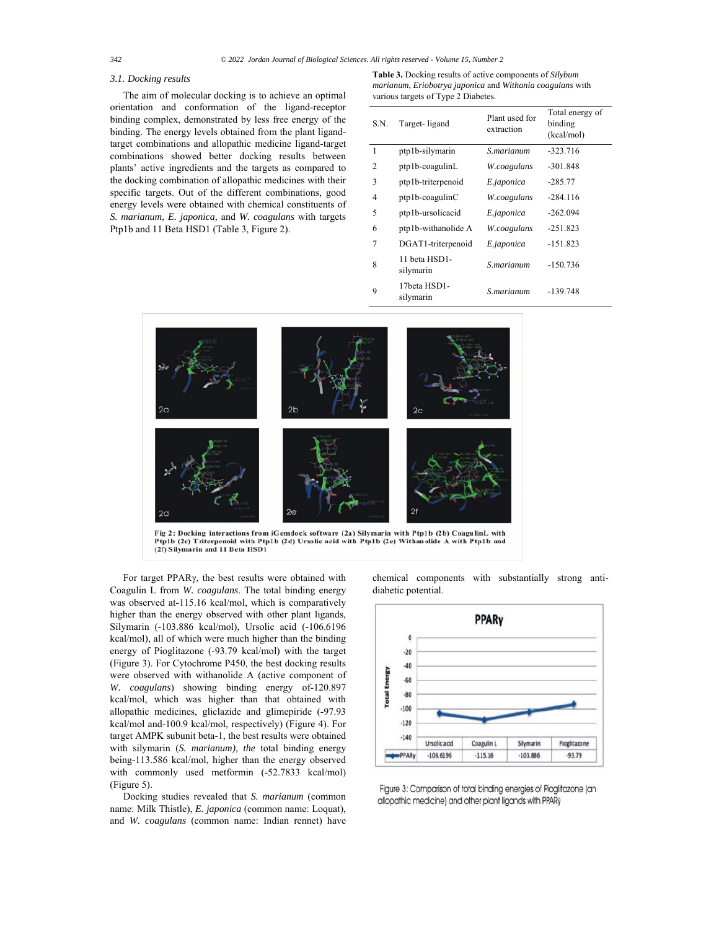#### *3.1. Docking results*

The aim of molecular docking is to achieve an optimal orientation and conformation of the ligand-receptor binding complex, demonstrated by less free energy of the binding. The energy levels obtained from the plant ligandtarget combinations and allopathic medicine ligand-target combinations showed better docking results between plants' active ingredients and the targets as compared to the docking combination of allopathic medicines with their specific targets. Out of the different combinations, good energy levels were obtained with chemical constituents of *S. marianum*, *E. japonica,* and *W. coagulans* with targets Ptp1b and 11 Beta HSD1 (Table 3, Figure 2).

**Table 3.** Docking results of active components of *Silybum marianum*, *Eriobotrya japonica* and *Withania coagulans* with various targets of Type 2 Diabetes.

| S.N. | Target-ligand              | Plant used for<br>extraction | Total energy of<br>binding<br>(kcal/mol) |
|------|----------------------------|------------------------------|------------------------------------------|
| 1    | ptp1b-silymarin            | S.marianum                   | $-323.716$                               |
| 2    | ptp1b-coagulinL            | W.coagulans                  | $-301.848$                               |
| 3    | ptp1b-triterpenoid         | E.japonica                   | $-285.77$                                |
| 4    | ptp1b-coagulinC            | W.coagulans                  | $-284.116$                               |
| 5    | ptp1b-ursolicacid          | E.japonica                   | $-262.094$                               |
| 6    | ptp1b-withanolide A        | W.coagulans                  | $-251.823$                               |
| 7    | DGAT1-triterpenoid         | E.japonica                   | $-151.823$                               |
| 8    | 11 beta HSD1-<br>silymarin | S.marianum                   | $-150.736$                               |
| 9    | 17beta HSD1-<br>silymarin  | S.marianum                   | $-139.748$                               |



Ptp1b (2c) Triterpenoid with Ptp1b (2d) Ursolic acid with Ptp1b (2e) Withanolide A with Ptp1b and (2f) Silymarin and 11 Beta HSD1

For target PPARγ, the best results were obtained with Coagulin L from *W. coagulans*. The total binding energy was observed at-115.16 kcal/mol, which is comparatively higher than the energy observed with other plant ligands, Silymarin (-103.886 kcal/mol), Ursolic acid (-106.6196 kcal/mol), all of which were much higher than the binding energy of Pioglitazone (-93.79 kcal/mol) with the target (Figure 3). For Cytochrome P450, the best docking results were observed with withanolide A (active component of *W. coagulans*) showing binding energy of-120.897 kcal/mol, which was higher than that obtained with allopathic medicines, gliclazide and glimepiride (-97.93 kcal/mol and-100.9 kcal/mol, respectively) (Figure 4). For target AMPK subunit beta-1, the best results were obtained with silymarin (*S. marianum), the* total binding energy being-113.586 kcal/mol, higher than the energy observed with commonly used metformin (-52.7833 kcal/mol) (Figure 5).

Docking studies revealed that *S. marianum* (common name: Milk Thistle), *E. japonica* (common name: Loquat), and *W. coagulans* (common name: Indian rennet) have

chemical components with substantially strong antidiabetic potential.



Figure 3: Comparison of total binding energies of Pioglitazone (an allopathic medicine) and other plant ligands with PPARý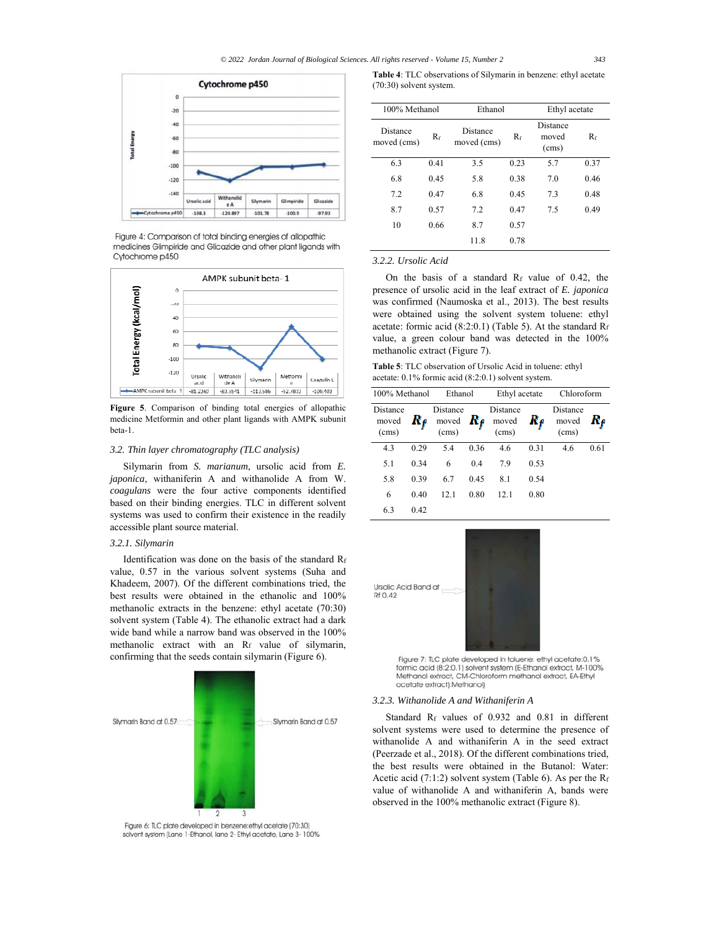

Figure 4: Comparison of total binding energies of allopathic medicines Glimpiride and Glicazide and other plant ligands with Cytochrome p450



**Figure 5**. Comparison of binding total energies of allopathic medicine Metformin and other plant ligands with AMPK subunit beta-1.

# *3.2. Thin layer chromatography (TLC analysis)*

Silymarin from *S. marianum*, ursolic acid from *E. japonica*, withaniferin A and withanolide A from W. *coagulans* were the four active components identified based on their binding energies. TLC in different solvent systems was used to confirm their existence in the readily accessible plant source material.

## *3.2.1. Silymarin*

Identification was done on the basis of the standard Rf value, 0.57 in the various solvent systems (Suha and Khadeem, 2007). Of the different combinations tried, the best results were obtained in the ethanolic and 100% methanolic extracts in the benzene: ethyl acetate (70:30) solvent system (Table 4). The ethanolic extract had a dark wide band while a narrow band was observed in the 100% methanolic extract with an Rf value of silymarin, confirming that the seeds contain silymarin (Figure 6).



Figure 6: TLC plate developed in benzene: ethyl acetate (70:30) solvent system (Lane 1-Ethanol, lane 2- Ethyl acetate, Lane 3- 100%

**Table 4**: TLC observations of Silymarin in benzene: ethyl acetate (70:30) solvent system.

| 100% Methanol           |       | Ethanol                 |       | Ethyl acetate                       |       |
|-------------------------|-------|-------------------------|-------|-------------------------------------|-------|
| Distance<br>moved (cms) | $R_f$ | Distance<br>moved (cms) | $R_f$ | Distance<br>moved<br>$\text{(cms)}$ | $R_f$ |
| 6.3                     | 0.41  | 3.5                     | 0.23  | 5.7                                 | 0.37  |
| 6.8                     | 0.45  | 5.8                     | 0.38  | 7.0                                 | 0.46  |
| 7.2                     | 0.47  | 6.8                     | 0.45  | 7.3                                 | 0.48  |
| 8.7                     | 0.57  | 7.2                     | 0.47  | 7.5                                 | 0.49  |
| 10                      | 0.66  | 8.7                     | 0.57  |                                     |       |
|                         |       | 11.8                    | 0.78  |                                     |       |

#### *3.2.2. Ursolic Acid*

On the basis of a standard Rf value of 0.42, the presence of ursolic acid in the leaf extract of *E. japonica* was confirmed (Naumoska et al., 2013). The best results were obtained using the solvent system toluene: ethyl acetate: formic acid (8:2:0.1) (Table 5). At the standard Rf value, a green colour band was detected in the 100% methanolic extract (Figure 7).

|                                                          | Table 5: TLC observation of Ursolic Acid in toluene: ethyl |
|----------------------------------------------------------|------------------------------------------------------------|
| acetate: $0.1\%$ formic acid $(8:2:0.1)$ solvent system. |                                                            |

| 100% Methanol              |      | Ethanol                    |      | Ethyl acetate                       |      | Chloroform                 |      |
|----------------------------|------|----------------------------|------|-------------------------------------|------|----------------------------|------|
| Distance<br>moved<br>(cms) | Rρ   | Distance<br>moved<br>(cms) | R e  | Distance<br>moved<br>$\text{(cms)}$ | R e  | Distance<br>moved<br>(cms) | Rе   |
| 4.3                        | 0.29 | 5.4                        | 0.36 | 4.6                                 | 0.31 | 4.6                        | 0.61 |
| 5.1                        | 0.34 | 6                          | 0.4  | 7.9                                 | 0.53 |                            |      |
| 5.8                        | 0.39 | 6.7                        | 0.45 | 8.1                                 | 0.54 |                            |      |
| 6                          | 0.40 | 12.1                       | 0.80 | 12.1                                | 0.80 |                            |      |
| 6.3                        | 0.42 |                            |      |                                     |      |                            |      |



Figure 7: TLC plate developed in toluene: ethyl acetate:0.1% formic acid (8:2:0.1) solvent system (E-Ethanol extract, M-100% Methanol extract, CM-Chloroform methanol extract, EA-Ethyl acetate extract). Methanol)

#### *3.2.3. Withanolide A and Withaniferin A*

Standard Rf values of 0.932 and 0.81 in different solvent systems were used to determine the presence of withanolide A and withaniferin A in the seed extract (Peerzade et al., 2018). Of the different combinations tried, the best results were obtained in the Butanol: Water: Acetic acid (7:1:2) solvent system (Table 6). As per the Rf value of withanolide A and withaniferin A, bands were observed in the 100% methanolic extract (Figure 8).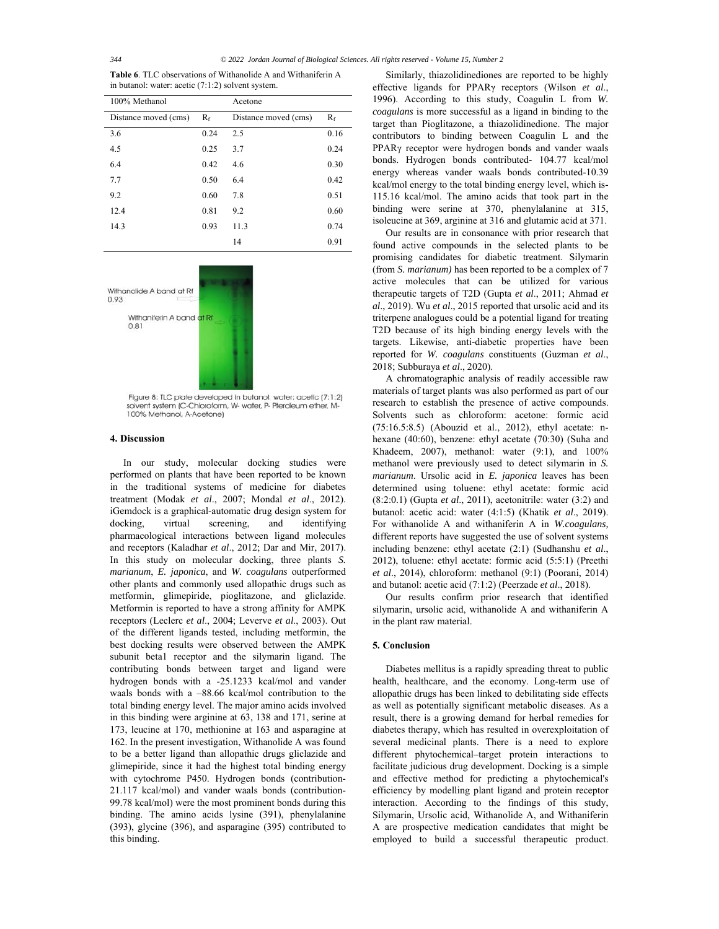**Table 6**. TLC observations of Withanolide A and Withaniferin A in butanol: water: acetic (7:1:2) solvent system.

| 100% Methanol        |       | Acetone              |       |
|----------------------|-------|----------------------|-------|
| Distance moved (cms) | $R_f$ | Distance moved (cms) | $R_f$ |
| 3.6                  | 0.24  | 2.5                  | 0.16  |
| 4.5                  | 0.25  | 3.7                  | 0.24  |
| 6.4                  | 0.42  | 4.6                  | 0.30  |
| 7.7                  | 0.50  | 6.4                  | 0.42  |
| 9.2                  | 0.60  | 7.8                  | 0.51  |
| 12.4                 | 0.81  | 9.2                  | 0.60  |
| 14.3                 | 0.93  | 11.3                 | 0.74  |
|                      |       | 14                   | 0.91  |



Figure 8: TLC plate developed in butanol: water: acetic (7:1:2) solvent system (C-Chloroform, W- water, P- Pteroleum ether, M-100% Methanol, A-Acetone)

## **4. Discussion**

In our study, molecular docking studies were performed on plants that have been reported to be known in the traditional systems of medicine for diabetes treatment (Modak *et al*., 2007; Mondal *et al*., 2012). iGemdock is a graphical-automatic drug design system for docking, virtual screening, and identifying pharmacological interactions between ligand molecules and receptors (Kaladhar *et al*., 2012; Dar and Mir, 2017). In this study on molecular docking, three plants *S. marianum*, *E. japonica*, and *W. coagulans* outperformed other plants and commonly used allopathic drugs such as metformin, glimepiride, pioglitazone, and gliclazide. Metformin is reported to have a strong affinity for AMPK receptors (Leclerc *et al*., 2004; Leverve *et al*., 2003). Out of the different ligands tested, including metformin, the best docking results were observed between the AMPK subunit beta1 receptor and the silymarin ligand. The contributing bonds between target and ligand were hydrogen bonds with a -25.1233 kcal/mol and vander waals bonds with a –88.66 kcal/mol contribution to the total binding energy level. The major amino acids involved in this binding were arginine at 63, 138 and 171, serine at 173, leucine at 170, methionine at 163 and asparagine at 162. In the present investigation, Withanolide A was found to be a better ligand than allopathic drugs gliclazide and glimepiride, since it had the highest total binding energy with cytochrome P450. Hydrogen bonds (contribution-21.117 kcal/mol) and vander waals bonds (contribution-99.78 kcal/mol) were the most prominent bonds during this binding. The amino acids lysine (391), phenylalanine (393), glycine (396), and asparagine (395) contributed to this binding.

Similarly, thiazolidinediones are reported to be highly effective ligands for PPARγ receptors (Wilson *et al*., 1996). According to this study, Coagulin L from *W. coagulans* is more successful as a ligand in binding to the target than Pioglitazone, a thiazolidinedione. The major contributors to binding between Coagulin L and the PPARγ receptor were hydrogen bonds and vander waals bonds. Hydrogen bonds contributed- 104.77 kcal/mol energy whereas vander waals bonds contributed-10.39 kcal/mol energy to the total binding energy level, which is-115.16 kcal/mol. The amino acids that took part in the binding were serine at 370, phenylalanine at 315, isoleucine at 369, arginine at 316 and glutamic acid at 371.

Our results are in consonance with prior research that found active compounds in the selected plants to be promising candidates for diabetic treatment. Silymarin (from *S. marianum)* has been reported to be a complex of 7 active molecules that can be utilized for various therapeutic targets of T2D (Gupta *et al*., 2011; Ahmad *et al*., 2019). Wu *et al*., 2015 reported that ursolic acid and its triterpene analogues could be a potential ligand for treating T2D because of its high binding energy levels with the targets. Likewise, anti-diabetic properties have been reported for *W. coagulans* constituents (Guzman *et al*., 2018; Subburaya *et al*., 2020).

A chromatographic analysis of readily accessible raw materials of target plants was also performed as part of our research to establish the presence of active compounds. Solvents such as chloroform: acetone: formic acid (75:16.5:8.5) (Abouzid et al., 2012), ethyl acetate: nhexane (40:60), benzene: ethyl acetate (70:30) (Suha and Khadeem, 2007), methanol: water (9:1), and 100% methanol were previously used to detect silymarin in *S. marianum*. Ursolic acid in *E. japonica* leaves has been determined using toluene: ethyl acetate: formic acid (8:2:0.1) (Gupta *et al*., 2011), acetonitrile: water (3:2) and butanol: acetic acid: water (4:1:5) (Khatik *et al*., 2019). For withanolide A and withaniferin A in *W.coagulans,* different reports have suggested the use of solvent systems including benzene: ethyl acetate (2:1) (Sudhanshu *et al*., 2012), toluene: ethyl acetate: formic acid (5:5:1) (Preethi *et al*., 2014), chloroform: methanol (9:1) (Poorani, 2014) and butanol: acetic acid (7:1:2) (Peerzade *et al*., 2018).

Our results confirm prior research that identified silymarin, ursolic acid, withanolide A and withaniferin A in the plant raw material.

#### **5. Conclusion**

Diabetes mellitus is a rapidly spreading threat to public health, healthcare, and the economy. Long-term use of allopathic drugs has been linked to debilitating side effects as well as potentially significant metabolic diseases. As a result, there is a growing demand for herbal remedies for diabetes therapy, which has resulted in overexploitation of several medicinal plants. There is a need to explore different phytochemical–target protein interactions to facilitate judicious drug development. Docking is a simple and effective method for predicting a phytochemical's efficiency by modelling plant ligand and protein receptor interaction. According to the findings of this study, Silymarin, Ursolic acid, Withanolide A, and Withaniferin A are prospective medication candidates that might be employed to build a successful therapeutic product.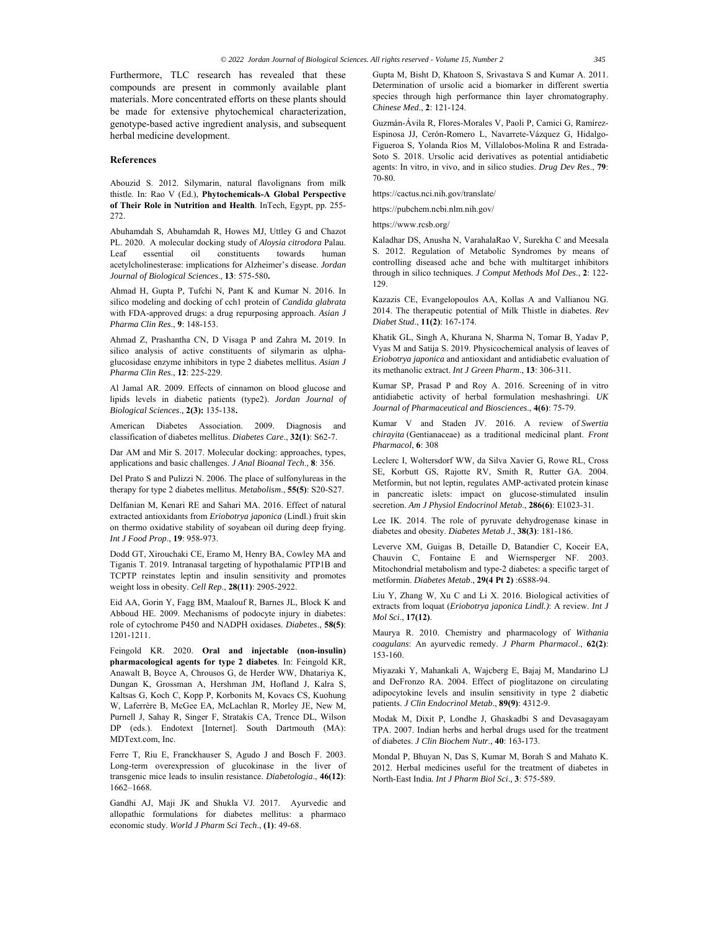Furthermore, TLC research has revealed that these compounds are present in commonly available plant materials. More concentrated efforts on these plants should be made for extensive phytochemical characterization, genotype-based active ingredient analysis, and subsequent herbal medicine development.

#### **References**

Abouzid S. 2012. Silymarin, natural flavolignans from milk thistle. In: Rao V (Ed.), **Phytochemicals-A Global Perspective of Their Role in Nutrition and Health**. InTech, Egypt, pp. 255- 272.

Abuhamdah S, Abuhamdah R, Howes MJ, Uttley G and Chazot PL. 2020. A molecular docking study of *Aloysia citrodora* Palau. Leaf essential oil constituents towards human acetylcholinesterase: implications for Alzheimer's disease. *Jordan Journal of Biological Sciences*., **13**: 575-580**.** 

Ahmad H, Gupta P, Tufchi N, Pant K and Kumar N. 2016. In silico modeling and docking of cch1 protein of *Candida glabrata* with FDA-approved drugs: a drug repurposing approach. *Asian J Pharma Clin Res*., **9**: 148-153.

Ahmad Z, Prashantha CN, D Visaga P and Zahra M**.** 2019. In silico analysis of active constituents of silymarin as αlphaglucosidase enzyme inhibitors in type 2 diabetes mellitus. *Asian J Pharma Clin Res*., **12**: 225-229.

Al Jamal AR. 2009. Effects of cinnamon on blood glucose and lipids levels in diabetic patients (type2). *Jordan Journal of Biological Sciences*.*,* **2(3):** 135-138**.** 

American Diabetes Association. 2009. Diagnosis and classification of diabetes mellitus. *Diabetes Care*., **32(1)**: S62-7.

Dar AM and Mir S. 2017. Molecular docking: approaches, types, applications and basic challenges. *J Anal Bioanal Tech*., **8**: 356.

Del Prato S and Pulizzi N. 2006. The place of sulfonylureas in the therapy for type 2 diabetes mellitus. *Metabolism*., **55(5)**: S20-S27.

Delfanian M, Kenari RE and Sahari MA. 2016. Effect of natural extracted antioxidants from *Eriobotrya japonica* (Lindl.) fruit skin on thermo oxidative stability of soyabean oil during deep frying. *Int J Food Prop*., **19**: 958-973.

Dodd GT, Xirouchaki CE, Eramo M, Henry BA, Cowley MA and Tiganis T. 2019. Intranasal targeting of hypothalamic PTP1B and TCPTP reinstates leptin and insulin sensitivity and promotes weight loss in obesity. *Cell Rep*., **28(11)**: 2905-2922.

Eid AA, Gorin Y, Fagg BM, Maalouf R, Barnes JL, Block K and Abboud HE. 2009. Mechanisms of podocyte injury in diabetes: role of cytochrome P450 and NADPH oxidases. *Diabetes*., **58(5)**: 1201-1211.

Feingold KR. 2020. **Oral and injectable (non-insulin) pharmacological agents for type 2 diabetes**. In: Feingold KR, Anawalt B, Boyce A, Chrousos G, de Herder WW, Dhatariya K, Dungan K, Grossman A, Hershman JM, Hofland J, Kalra S, Kaltsas G, Koch C, Kopp P, Korbonits M, Kovacs CS, Kuohung W, Laferrère B, McGee EA, McLachlan R, Morley JE, New M, Purnell J, Sahay R, Singer F, Stratakis CA, Trence DL, Wilson DP (eds.). Endotext [Internet]. South Dartmouth (MA): MDText.com, Inc.

Ferre T, Riu E, Franckhauser S, Agudo J and Bosch F. 2003. Long-term overexpression of glucokinase in the liver of transgenic mice leads to insulin resistance. *Diabetologia*., **46(12)**: 1662–1668.

Gandhi AJ, Maji JK and Shukla VJ. 2017. Ayurvedic and allopathic formulations for diabetes mellitus: a pharmaco economic study. *World J Pharm Sci Tech*., **(1)**: 49-68.

Gupta M, Bisht D, Khatoon S, Srivastava S and Kumar A. 2011. Determination of ursolic acid a biomarker in different swertia species through high performance thin layer chromatography. *Chinese Med*., **2**: 121-124.

Guzmán-Ávila R, Flores-Morales V, Paoli P, Camici G, Ramírez-Espinosa JJ, Cerón-Romero L, Navarrete-Vázquez G, Hidalgo-Figueroa S, Yolanda Rios M, Villalobos-Molina R and Estrada-Soto S. 2018. Ursolic acid derivatives as potential antidiabetic agents: In vitro, in vivo, and in silico studies. *Drug Dev Res*., **79**: 70-80.

https://cactus.nci.nih.gov/translate/

https://pubchem.ncbi.nlm.nih.gov/

https://www.rcsb.org/

Kaladhar DS, Anusha N, VarahalaRao V, Surekha C and Meesala S. 2012. Regulation of Metabolic Syndromes by means of controlling diseased ache and bche with multitarget inhibitors through in silico techniques. *J Comput Methods Mol Des*., **2**: 122- 129.

Kazazis CE, Evangelopoulos AA, Kollas A and Vallianou NG. 2014. The therapeutic potential of Milk Thistle in diabetes. *Rev Diabet Stud*., **11(2)**: 167-174.

Khatik GL, Singh A, Khurana N, Sharma N, Tomar B, Yadav P, Vyas M and Satija S. 2019. Physicochemical analysis of leaves of *Eriobotrya japonica* and antioxidant and antidiabetic evaluation of its methanolic extract. *Int J Green Pharm*., **13**: 306-311.

Kumar SP, Prasad P and Roy A. 2016. Screening of in vitro antidiabetic activity of herbal formulation meshashringi. *UK Journal of Pharmaceutical and Biosciences*., **4(6)**: 75-79.

Kumar V and Staden JV. 2016. A review of *Swertia chirayita* (Gentianaceae) as a traditional medicinal plant. *Front Pharmacol*, **6**: 308

Leclerc I, Woltersdorf WW, da Silva Xavier G, Rowe RL, Cross SE, Korbutt GS, Rajotte RV, Smith R, Rutter GA. 2004. Metformin, but not leptin, regulates AMP-activated protein kinase in pancreatic islets: impact on glucose-stimulated insulin secretion. *Am J Physiol Endocrinol Metab*., **286(6)**: E1023-31.

Lee IK. 2014. The role of pyruvate dehydrogenase kinase in diabetes and obesity. *Diabetes Metab J*., **38(3)**: 181-186.

Leverve XM, Guigas B, Detaille D, Batandier C, Koceir EA, Chauvin C, Fontaine E and Wiernsperger NF. 2003. Mitochondrial metabolism and type-2 diabetes: a specific target of metformin. *Diabetes Metab*., **29(4 Pt 2)** :6S88-94.

Liu Y, Zhang W, Xu C and Li X. 2016. Biological activities of extracts from loquat (*Eriobotrya japonica Lindl.)*: A review. *Int J Mol Sci*., **17(12)**.

Maurya R. 2010. Chemistry and pharmacology of *Withania coagulans*: An ayurvedic remedy. *J Pharm Pharmacol*., **62(2)**: 153-160.

Miyazaki Y, Mahankali A, Wajcberg E, Bajaj M, Mandarino LJ and DeFronzo RA. 2004. Effect of pioglitazone on circulating adipocytokine levels and insulin sensitivity in type 2 diabetic patients. *J Clin Endocrinol Metab*., **89(9)**: 4312-9.

Modak M, Dixit P, Londhe J, Ghaskadbi S and Devasagayam TPA. 2007. Indian herbs and herbal drugs used for the treatment of diabetes. *J Clin Biochem Nutr*., **40**: 163-173.

Mondal P, Bhuyan N, Das S, Kumar M, Borah S and Mahato K. 2012. Herbal medicines useful for the treatment of diabetes in North-East India*. Int J Pharm Biol Sci*.*,* **3**: 575-589.